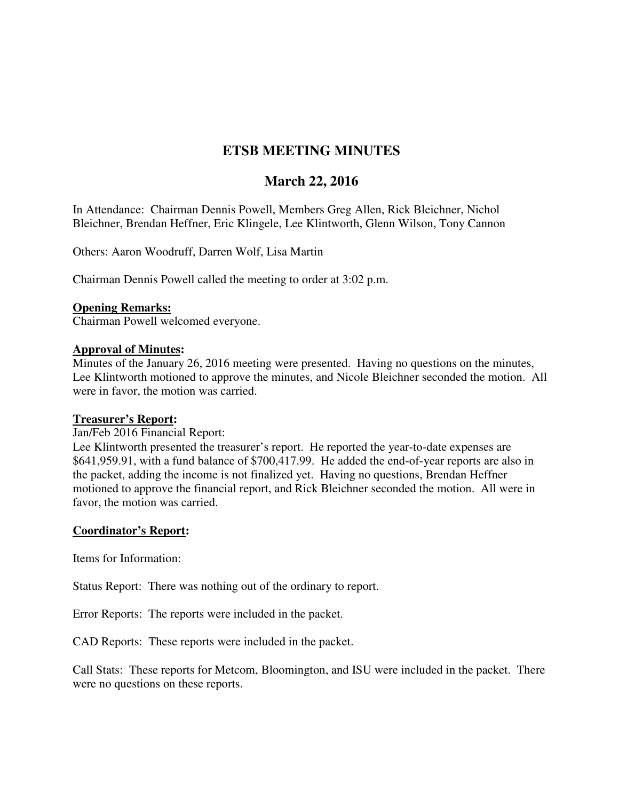# **ETSB MEETING MINUTES**

## **March 22, 2016**

In Attendance: Chairman Dennis Powell, Members Greg Allen, Rick Bleichner, Nichol Bleichner, Brendan Heffner, Eric Klingele, Lee Klintworth, Glenn Wilson, Tony Cannon

Others: Aaron Woodruff, Darren Wolf, Lisa Martin

Chairman Dennis Powell called the meeting to order at 3:02 p.m.

### **Opening Remarks:**

Chairman Powell welcomed everyone.

## **Approval of Minutes:**

Minutes of the January 26, 2016 meeting were presented. Having no questions on the minutes, Lee Klintworth motioned to approve the minutes, and Nicole Bleichner seconded the motion. All were in favor, the motion was carried.

#### **Treasurer's Report:**

Jan/Feb 2016 Financial Report:

Lee Klintworth presented the treasurer's report. He reported the year-to-date expenses are \$641,959.91, with a fund balance of \$700,417.99. He added the end-of-year reports are also in the packet, adding the income is not finalized yet. Having no questions, Brendan Heffner motioned to approve the financial report, and Rick Bleichner seconded the motion. All were in favor, the motion was carried.

## **Coordinator's Report:**

Items for Information:

Status Report: There was nothing out of the ordinary to report.

Error Reports: The reports were included in the packet.

CAD Reports: These reports were included in the packet.

Call Stats: These reports for Metcom, Bloomington, and ISU were included in the packet. There were no questions on these reports.